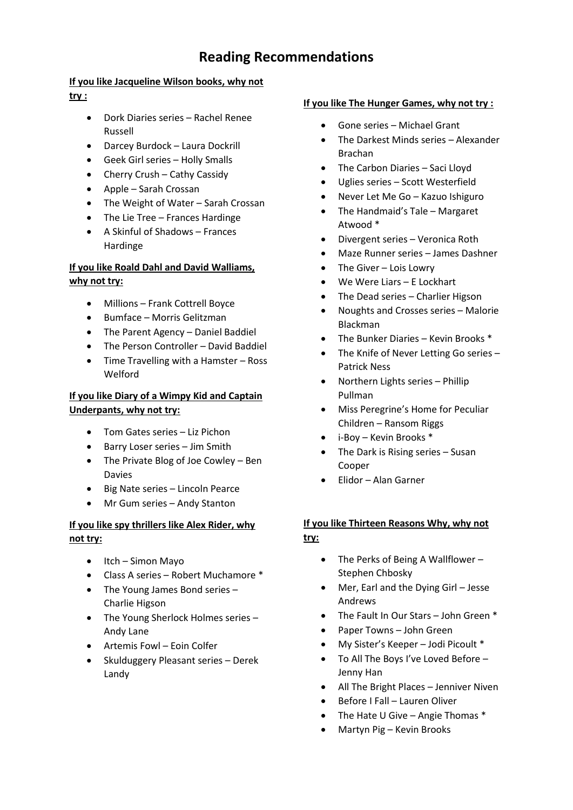# **Reading Recommendations**

### **If you like Jacqueline Wilson books, why not**

**try :** 

- Dork Diaries series Rachel Renee Russell
- Darcey Burdock Laura Dockrill
- Geek Girl series Holly Smalls
- Cherry Crush Cathy Cassidy
- Apple Sarah Crossan
- The Weight of Water Sarah Crossan
- The Lie Tree Frances Hardinge
- A Skinful of Shadows Frances Hardinge

# **If you like Roald Dahl and David Walliams, why not try:**

- Millions Frank Cottrell Boyce
- Bumface Morris Gelitzman
- The Parent Agency Daniel Baddiel
- The Person Controller David Baddiel
- Time Travelling with a Hamster Ross Welford

## **If you like Diary of a Wimpy Kid and Captain Underpants, why not try:**

- Tom Gates series Liz Pichon
- Barry Loser series Jim Smith
- The Private Blog of Joe Cowley Ben Davies
- Big Nate series Lincoln Pearce
- Mr Gum series Andy Stanton

# **If you like spy thrillers like Alex Rider, why not try:**

- Itch Simon Mayo
- Class A series Robert Muchamore \*
- The Young James Bond series Charlie Higson
- The Young Sherlock Holmes series Andy Lane
- Artemis Fowl Eoin Colfer
- Skulduggery Pleasant series Derek Landy

### **If you like The Hunger Games, why not try :**

- Gone series Michael Grant
- The Darkest Minds series Alexander Brachan
- The Carbon Diaries Saci Lloyd
- Uglies series Scott Westerfield
- Never Let Me Go Kazuo Ishiguro
- The Handmaid's Tale Margaret Atwood \*
- Divergent series Veronica Roth
- Maze Runner series James Dashner
- The Giver Lois Lowry
- We Were Liars E Lockhart
- The Dead series Charlier Higson
- Noughts and Crosses series Malorie Blackman
- The Bunker Diaries Kevin Brooks \*
- The Knife of Never Letting Go series -Patrick Ness
- Northern Lights series Phillip Pullman
- Miss Peregrine's Home for Peculiar Children – Ransom Riggs
- i-Boy Kevin Brooks \*
- The Dark is Rising series Susan Cooper
- Elidor Alan Garner

### **If you like Thirteen Reasons Why, why not try:**

- The Perks of Being A Wallflower Stephen Chbosky
- Mer, Earl and the Dying Girl Jesse Andrews
- The Fault In Our Stars John Green \*
- Paper Towns John Green
- My Sister's Keeper Jodi Picoult \*
- To All The Boys I've Loved Before Jenny Han
- All The Bright Places Jenniver Niven
- Before I Fall Lauren Oliver
- The Hate U Give Angie Thomas \*
- Martyn Pig Kevin Brooks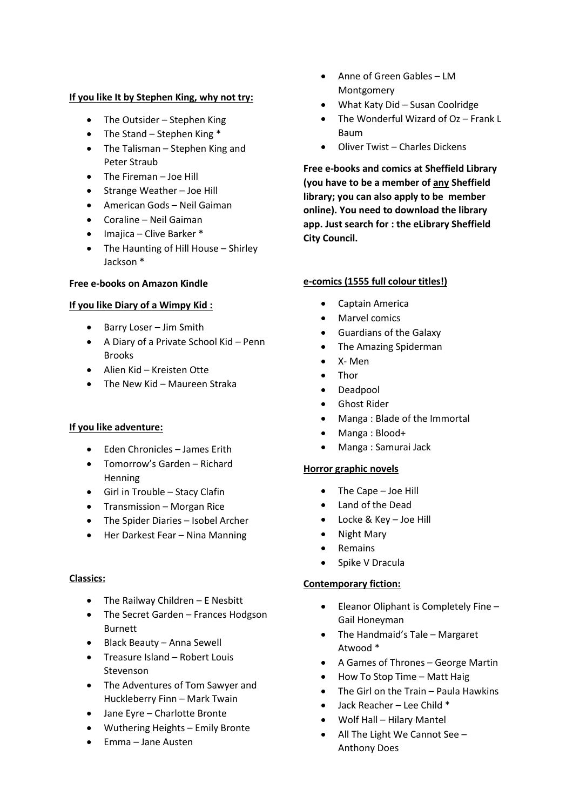#### **If you like It by Stephen King, why not try:**

- The Outsider Stephen King
- The Stand Stephen King \*
- The Talisman Stephen King and Peter Straub
- The Fireman Joe Hill
- Strange Weather Joe Hill
- American Gods Neil Gaiman
- Coraline Neil Gaiman
- Imajica Clive Barker \*
- The Haunting of Hill House Shirley Jackson \*

#### **Free e-books on Amazon Kindle**

#### **If you like Diary of a Wimpy Kid :**

- Barry Loser Jim Smith
- A Diary of a Private School Kid Penn Brooks
- Alien Kid Kreisten Otte
- The New Kid Maureen Straka

#### **If you like adventure:**

- Eden Chronicles James Erith
- Tomorrow's Garden Richard Henning
- Girl in Trouble Stacy Clafin
- Transmission Morgan Rice
- The Spider Diaries Isobel Archer
- Her Darkest Fear Nina Manning

#### **Classics:**

- The Railway Children E Nesbitt
- The Secret Garden Frances Hodgson Burnett
- Black Beauty Anna Sewell
- Treasure Island Robert Louis Stevenson
- The Adventures of Tom Sawyer and Huckleberry Finn – Mark Twain
- Jane Eyre Charlotte Bronte
- Wuthering Heights Emily Bronte
- Emma Jane Austen
- Anne of Green Gables LM Montgomery
- What Katy Did Susan Coolridge
- The Wonderful Wizard of Oz Frank L Baum
- Oliver Twist Charles Dickens

**Free e-books and comics at Sheffield Library (you have to be a member of any Sheffield library; you can also apply to be member online). You need to download the library app. Just search for : the eLibrary Sheffield City Council.** 

#### **e-comics (1555 full colour titles!)**

- Captain America
- Marvel comics
- Guardians of the Galaxy
- The Amazing Spiderman
- X- Men
- Thor
- Deadpool
- Ghost Rider
- Manga : Blade of the Immortal
- Manga : Blood+
- Manga : Samurai Jack

#### **Horror graphic novels**

- The Cape Joe Hill
- Land of the Dead
- Locke & Key Joe Hill
- Night Mary
- Remains
- Spike V Dracula

#### **Contemporary fiction:**

- Eleanor Oliphant is Completely Fine Gail Honeyman
- The Handmaid's Tale Margaret Atwood \*
- A Games of Thrones George Martin
- How To Stop Time Matt Haig
- The Girl on the Train Paula Hawkins
- Jack Reacher Lee Child \*
- Wolf Hall Hilary Mantel
- All The Light We Cannot See Anthony Does